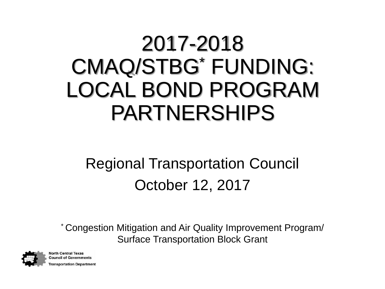### 2017-2018 CMAQ/STBG\* FUNDING: LOCAL BOND PROGRAM PARTNERSHIPS

#### Regional Transportation Council October 12, 2017

\* Congestion Mitigation and Air Quality Improvement Program/ Surface Transportation Block Grant



**North Central Texas Council of Governments** ransportation Department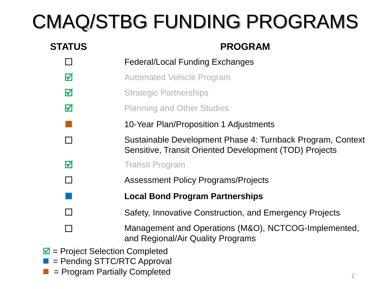#### CMAQ/STBG FUNDING PROGRAMS

| <b>STATUS</b>                                | <b>PROGRAM</b>                                                                                                       |  |
|----------------------------------------------|----------------------------------------------------------------------------------------------------------------------|--|
|                                              | <b>Federal/Local Funding Exchanges</b>                                                                               |  |
| $\boxtimes$                                  | <b>Automated Vehicle Program</b>                                                                                     |  |
| $\boldsymbol{\nabla}$                        | <b>Strategic Partnerships</b>                                                                                        |  |
| $\boxtimes$                                  | <b>Planning and Other Studies</b>                                                                                    |  |
|                                              | 10-Year Plan/Proposition 1 Adjustments                                                                               |  |
| П                                            | Sustainable Development Phase 4: Turnback Program, Context<br>Sensitive, Transit Oriented Development (TOD) Projects |  |
| $\boldsymbol{\nabla}$                        | <b>Transit Program</b>                                                                                               |  |
| $\Box$                                       | <b>Assessment Policy Programs/Projects</b>                                                                           |  |
|                                              | <b>Local Bond Program Partnerships</b>                                                                               |  |
| П                                            | Safety, Innovative Construction, and Emergency Projects                                                              |  |
|                                              | Management and Operations (M&O), NCTCOG-Implemented,<br>and Regional/Air Quality Programs                            |  |
| $\blacksquare$ = Project Selection Completed |                                                                                                                      |  |

- = Pending STTC/RTC Approval
- = Program Partially Completed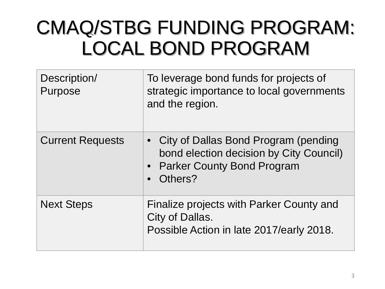#### CMAQ/STBG FUNDING PROGRAM: LOCAL BOND PROGRAM

| Description/<br>Purpose | To leverage bond funds for projects of<br>strategic importance to local governments<br>and the region.                       |
|-------------------------|------------------------------------------------------------------------------------------------------------------------------|
| <b>Current Requests</b> | • City of Dallas Bond Program (pending<br>bond election decision by City Council)<br>• Parker County Bond Program<br>Others? |
| <b>Next Steps</b>       | Finalize projects with Parker County and<br>City of Dallas.<br>Possible Action in late 2017/early 2018.                      |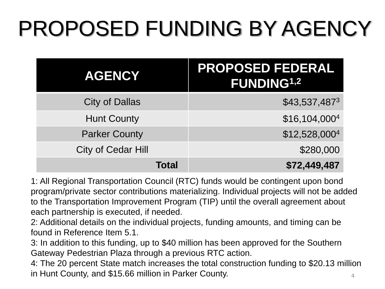### PROPOSED FUNDING BY AGENCY

| <b>AGENCY</b>             | <b>PROPOSED FEDERAL</b><br><b>FUNDING1,2</b> |
|---------------------------|----------------------------------------------|
| <b>City of Dallas</b>     | \$43,537,4873                                |
| <b>Hunt County</b>        | \$16,104,0004                                |
| <b>Parker County</b>      | \$12,528,0004                                |
| <b>City of Cedar Hill</b> | \$280,000                                    |
| Total                     | \$72,449,487                                 |

1: All Regional Transportation Council (RTC) funds would be contingent upon bond program/private sector contributions materializing. Individual projects will not be added to the Transportation Improvement Program (TIP) until the overall agreement about each partnership is executed, if needed.

2: Additional details on the individual projects, funding amounts, and timing can be found in Reference Item 5.1.

3: In addition to this funding, up to \$40 million has been approved for the Southern Gateway Pedestrian Plaza through a previous RTC action.

4 4: The 20 percent State match increases the total construction funding to \$20.13 million in Hunt County, and \$15.66 million in Parker County.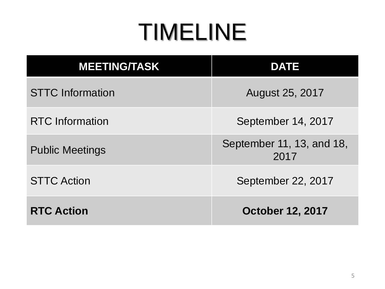### TIMELINE

| <b>MEETING/TASK</b>     | <b>DATE</b>                       |
|-------------------------|-----------------------------------|
| <b>STTC</b> Information | August 25, 2017                   |
| <b>RTC</b> Information  | September 14, 2017                |
| <b>Public Meetings</b>  | September 11, 13, and 18,<br>2017 |
| <b>STTC Action</b>      | September 22, 2017                |
| <b>RTC Action</b>       | <b>October 12, 2017</b>           |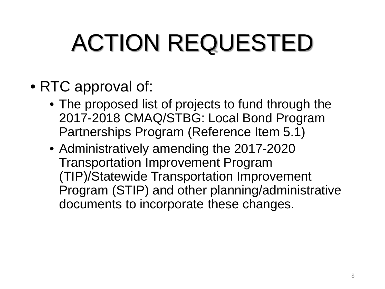# ACTION REQUESTED

- RTC approval of:
	- The proposed list of projects to fund through the 2017-2018 CMAQ/STBG: Local Bond Program Partnerships Program (Reference Item 5.1)
	- Administratively amending the 2017-2020 Transportation Improvement Program (TIP)/Statewide Transportation Improvement Program (STIP) and other planning/administrative documents to incorporate these changes.